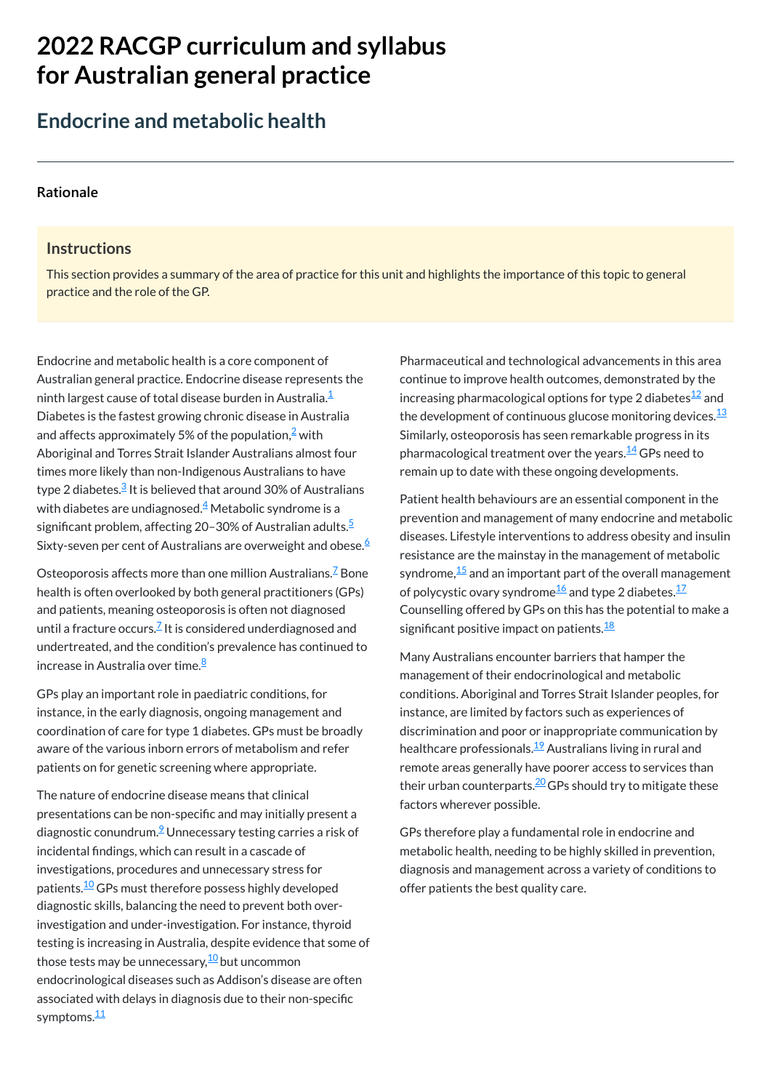# **2022 RACGP curriculum and syllabus for Australian [general practice](https://www.racgp.org.au/Curriculum-and-Syllabus/home)**

# **Endocrine and metabolic health**

#### **[Rationale](javascript:void(0))**

#### **Instructions**

Endocrine and metabolic health is a core component of Australian general practice. Endocrine disease represents the ninth largest cause of total disease burden in Australia. $^\mathsf{1}\overline{\phantom{a}}$  $^\mathsf{1}\overline{\phantom{a}}$  $^\mathsf{1}\overline{\phantom{a}}$ Diabetes is the fastest growing chronic disease in Australia and affects approximately 5% of the population, $\frac{2}{3}$  $\frac{2}{3}$  $\frac{2}{3}$  with Aboriginal and Torres Strait Islander Australians almost four times more likely than non-Indigenous Australians to have type 2 diabetes.<sup>[3](#page-1-2)</sup> It is believed that around 30% of Australians with diabetes are undiagnosed. $\stackrel{4}{\sim}$  $\stackrel{4}{\sim}$  $\stackrel{4}{\sim}$  Metabolic syndrome is a significant problem, affecting 20–30% of Australian adults.<sup>[5](#page-1-4)</sup> Sixty-seven per cent of Australians are overweight and obese.<sup>[6](#page-1-5)</sup>

This section provides a summary of the area of practice for this unit and highlights the importance of this topic to general practice and the role of the GP.

> Patient health behaviours are an essential component in the prevention and management of many endocrine and metabolic diseases. Lifestyle interventions to address obesity and insulin resistance are the mainstay in the management of metabolic syndrome, $^{\underline{15}}$  $^{\underline{15}}$  $^{\underline{15}}$  and an important part of the overall management of polycystic ovary syndrome $\frac{16}{2}$  $\frac{16}{2}$  $\frac{16}{2}$ and type 2 diabetes. $\frac{17}{2}$  $\frac{17}{2}$  $\frac{17}{2}$ Counselling offered by GPs on this has the potential to make a significant positive impact on patients.<sup>[18](#page-1-17)</sup>

GPs play an important role in paediatric conditions, for instance, in the early diagnosis, ongoing management and coordination of care for type 1 diabetes. GPs must be broadly aware of the various inborn errors of metabolism and refer patients on for genetic screening where appropriate.

The nature of endocrine disease means that clinical presentations can be non-specific and may initially present a

Osteoporosis affects more than one million Australians. $\frac{7}{5}$  $\frac{7}{5}$  $\frac{7}{5}$  Bone health is often overlooked by both general practitioners (GPs) and patients, meaning osteoporosis is often not diagnosed until a fracture occurs. $^{\mathsf{Z}}$  It is considered underdiagnosed and undertreated, and the condition's prevalence has continued to increase in Australia over time. [8](#page-1-7)

Pharmaceutical and technological advancements in this area continue to improve health outcomes, demonstrated by the increasing pharmacological options for type 2 diabetes $^{\underline{12}}$  $^{\underline{12}}$  $^{\underline{12}}$  and the development of continuous glucose monitoring devices. $^{\underline{13}}$  $^{\underline{13}}$  $^{\underline{13}}$ Similarly, osteoporosis has seen remarkable progress in its pharmacological treatment over the years.<sup>[14](#page-1-13)</sup> GPs need to remain up to date with these ongoing developments.

Many Australians encounter barriers that hamper the management of their endocrinological and metabolic conditions. Aboriginal and Torres Strait Islander peoples, for instance, are limited by factors such as experiences of discrimination and poor or inappropriate communication by healthcare professionals.<sup>[19](#page-1-18)</sup> Australians living in rural and remote areas generally have poorer access to services than their urban counterparts.<sup>[20](#page-1-19)</sup> GPs should try to mitigate these factors wherever possible.

diagnostic conundrum.<sup>2</sup> Unnecessary testing carries a risk of incidental findings, which can result in a cascade of investigations, procedures and unnecessary stress for patients.<sup>[10](#page-1-9)</sup> GPs must therefore possess highly developed diagnostic skills, balancing the need to prevent both overinvestigation and under-investigation. For instance, thyroid testing is increasing in Australia, despite evidence that some of those tests may be unnecessary,<sup><u>[10](#page-1-9)</u> but uncommon</sup> endocrinological diseases such as Addison's disease are often associated with delays in diagnosis due to their non-specific symptoms.<sup>[11](#page-1-10)</sup>

GPs therefore play a fundamental role in endocrine and metabolic health, needing to be highly skilled in prevention, diagnosis and management across a variety of conditions to offer patients the best quality care.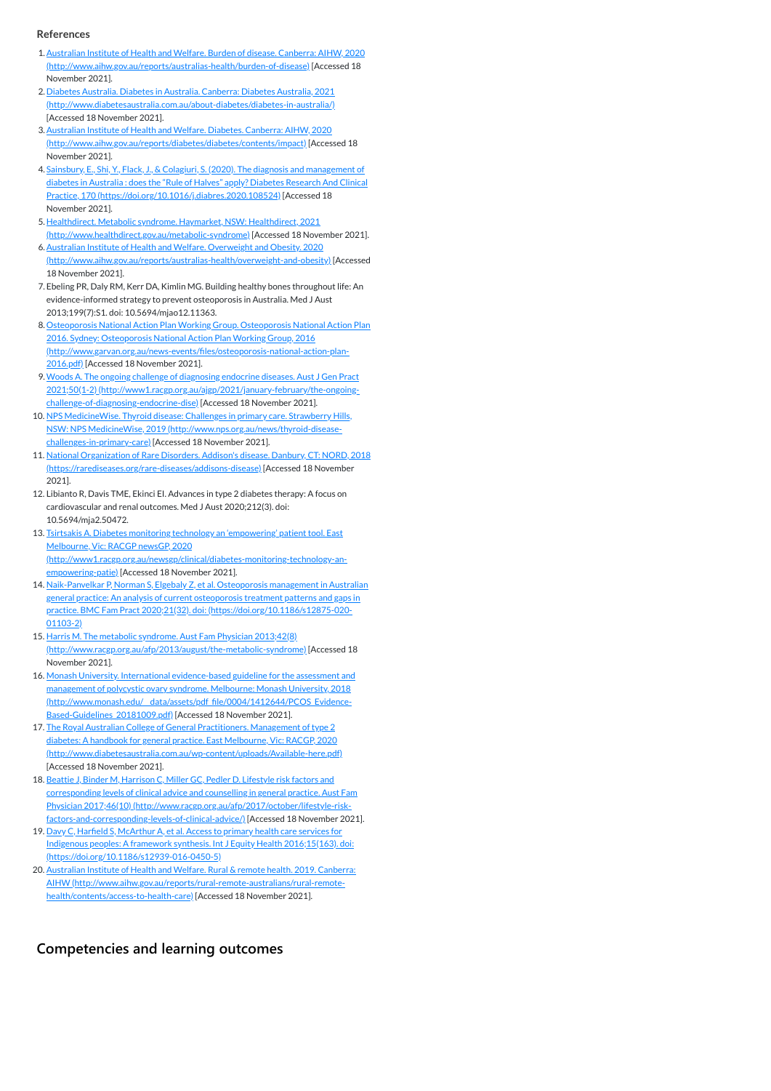**[Competencies and learning outcomes](javascript:void(0))**

#### **References**

- <span id="page-1-0"></span>1.Australian Institute of Health and Welfare. Burden of disease. Canberra: AIHW, 2020 [\(http://www.aihw.gov.au/reports/australias-health/burden-of-disease\)](http://www.aihw.gov.au/reports/australias-health/burden-of-disease) [Accessed 18 November 2021].
- <span id="page-1-1"></span>2. Diabetes Australia. Diabetes in Australia. Canberra: Diabetes Australia, 2021 [\(http://www.diabetesaustralia.com.au/about-diabetes/diabetes-in-australia/\)](http://www.diabetesaustralia.com.au/about-diabetes/diabetes-in-australia/) [Accessed 18 November 2021].
- <span id="page-1-2"></span>3. Australian Institute of Health and Welfare. Diabetes. Canberra: AIHW, 2020 [\(http://www.aihw.gov.au/reports/diabetes/diabetes/contents/impact\)](http://www.aihw.gov.au/reports/diabetes/diabetes/contents/impact) [Accessed 18 November 2021].
- <span id="page-1-3"></span>4. Sainsbury, E., Shi, Y., Flack, J., & Colagiuri, S. (2020). The diagnosis and management of diabetes in Australia : does the "Rule of Halves" apply? Diabetes Research And Clinical Practice, 170 [\(https://doi.org/10.1016/j.diabres.2020.108524\)](https://doi.org/10.1016/j.diabres.2020.108524) [Accessed 18 November 2021].
- <span id="page-1-4"></span>5. Healthdirect. Metabolic syndrome. Haymarket, NSW: Healthdirect, 2021 [\(http://www.healthdirect.gov.au/metabolic-syndrome\)](http://www.healthdirect.gov.au/metabolic-syndrome) [Accessed 18 November 2021]. 6. Australian Institute of Health and Welfare. Overweight and Obesity. 2020
- <span id="page-1-5"></span>[\(http://www.aihw.gov.au/reports/australias-health/overweight-and-obesity\)](http://www.aihw.gov.au/reports/australias-health/overweight-and-obesity) [Accessed 18 November 2021].
- <span id="page-1-6"></span>7. Ebeling PR, Daly RM, Kerr DA, Kimlin MG. Building healthy bones throughout life: An evidence-informed strategy to prevent osteoporosis in Australia. Med J Aust 2013;199(7):S1. doi: 10.5694/mjao12.11363.
- <span id="page-1-7"></span>8. Osteoporosis National Action Plan Working Group. Osteoporosis National Action Plan 2016. Sydney: Osteoporosis National Action Plan Working Group, 2016 [\(http://www.garvan.org.au/news-events/files/osteoporosis-national-action-plan-](http://www.garvan.org.au/news-events/files/osteoporosis-national-action-plan-2016.pdf)2016.pdf) [Accessed 18 November 2021].
- <span id="page-1-8"></span>9. Woods A. The ongoing challenge of diagnosing endocrine diseases. Aust J Gen Pract 2021;50(1-2) [\(http://www1.racgp.org.au/ajgp/2021/january-february/the-ongoing](http://www1.racgp.org.au/ajgp/2021/january-february/the-ongoing-challenge-of-diagnosing-endocrine-dise)challenge-of-diagnosing-endocrine-dise) [Accessed 18 November 2021].
- <span id="page-1-9"></span>10. NPS MedicineWise. Thyroid disease: Challenges in primary care. Strawberry Hills, NSW: NPS MedicineWise, 2019 [\(http://www.nps.org.au/news/thyroid-disease](http://www.nps.org.au/news/thyroid-disease-challenges-in-primary-care)challenges-in-primary-care) [Accessed 18 November 2021].
- <span id="page-1-10"></span>11. National Organization of Rare Disorders. Addison's disease. Danbury, CT: NORD, 2018 [\(https://rarediseases.org/rare-diseases/addisons-disease\)](https://rarediseases.org/rare-diseases/addisons-disease) [Accessed 18 November 2021].
- <span id="page-1-11"></span>12. Libianto R, Davis TME, Ekinci EI. Advances in type 2 diabetes therapy: A focus on cardiovascular and renal outcomes. Med J Aust 2020;212(3). doi: 10.5694/mja2.50472.
- <span id="page-1-12"></span>13. Tsirtsakis A. Diabetes monitoring technology an 'empowering' patient tool. East Melbourne, Vic: RACGP newsGP, 2020 [\(http://www1.racgp.org.au/newsgp/clinical/diabetes-monitoring-technology-an](http://www1.racgp.org.au/newsgp/clinical/diabetes-monitoring-technology-an-empowering-patie)empowering-patie) [Accessed 18 November 2021].
- <span id="page-1-13"></span>14. Naik-Panvelkar P, Norman S, Elgebaly Z, et al. Osteoporosis management in Australian general practice: An analysis of current osteoporosis treatment patterns and gaps in practice. BMC Fam Pract 2020;21(32). doi: [\(https://doi.org/10.1186/s12875-020-](https://doi.org/10.1186/s12875-020-01103-2) 01103-2)
- <span id="page-1-14"></span>15. Harris M. The metabolic syndrome. Aust Fam Physician 2013;42(8) [\(http://www.racgp.org.au/afp/2013/august/the-metabolic-syndrome\)](http://www.racgp.org.au/afp/2013/august/the-metabolic-syndrome) [Accessed 18 November 2021].
- <span id="page-1-15"></span>16. Monash University. International evidence-based guideline for the assessment and management of polycystic ovary syndrome. Melbourne: Monash University, 2018 (http://www.monash.edu/\_data/assets/pdf\_file/0004/1412644/PCOS\_Evidence-Based-Guidelines 20181009.pdf) [Accessed 18 November 2021].
- <span id="page-1-16"></span>17. The Royal Australian College of General Practitioners. Management of type 2 diabetes: A handbook for general practice. East Melbourne, Vic: RACGP, 2020 [\(http://www.diabetesaustralia.com.au/wp-content/uploads/Available-here.pdf\)](http://www.diabetesaustralia.com.au/wp-content/uploads/Available-here.pdf) [Accessed 18 November 2021].
- <span id="page-1-17"></span>18. Beattie J, Binder M, Harrison C, Miller GC, Pedler D. Lifestyle risk factors and corresponding levels of clinical advice and counselling in general practice. Aust Fam Physician 2017;46(10) [\(http://www.racgp.org.au/afp/2017/october/lifestyle-risk](http://www.racgp.org.au/afp/2017/october/lifestyle-risk-factors-and-corresponding-levels-of-clinical-advice/)factors-and-corresponding-levels-of-clinical-advice/) [Accessed 18 November 2021].
- <span id="page-1-18"></span>19. Davy C, Harfield S, McArthur A, et al. Access to primary health care services for Indigenous peoples: A framework synthesis. Int J Equity Health 2016;15(163). doi: [\(https://doi.org/10.1186/s12939-016-0450-5\)](https://doi.org/10.1186/s12939-016-0450-5)
- <span id="page-1-19"></span>20. Australian Institute of Health and Welfare. Rural & remote health. 2019. Canberra: AIHW [\(http://www.aihw.gov.au/reports/rural-remote-australians/rural-remote](http://www.aihw.gov.au/reports/rural-remote-australians/rural-remote-health/contents/access-to-health-care)health/contents/access-to-health-care) [Accessed 18 November 2021].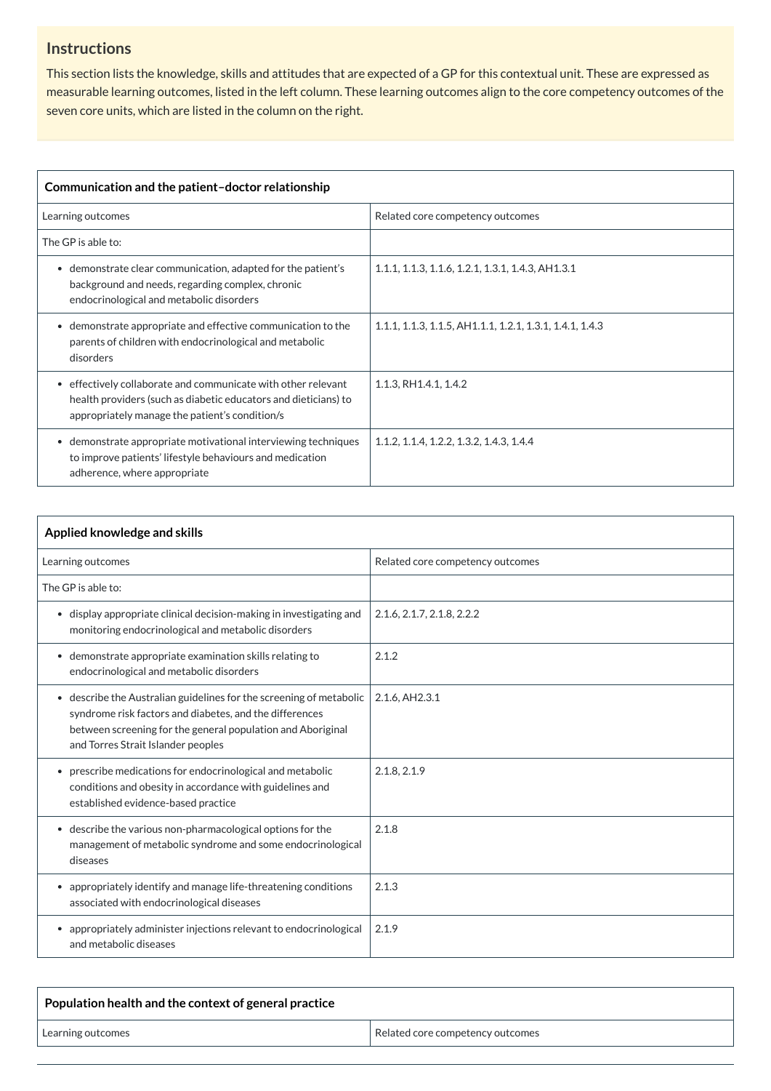## **Instructions**

This section lists the knowledge, skills and attitudes that are expected of a GP for this contextual unit. These are expressed as measurable learning outcomes, listed in the left column. These learning outcomes align to the core competency outcomes of the seven core units, which are listed in the column on the right.

| Communication and the patient-doctor relationship                                                                                                                                     |                                                          |
|---------------------------------------------------------------------------------------------------------------------------------------------------------------------------------------|----------------------------------------------------------|
| Learning outcomes                                                                                                                                                                     | Related core competency outcomes                         |
| The GP is able to:                                                                                                                                                                    |                                                          |
| demonstrate clear communication, adapted for the patient's<br>$\bullet$<br>background and needs, regarding complex, chronic<br>endocrinological and metabolic disorders               | 1.1.1, 1.1.3, 1.1.6, 1.2.1, 1.3.1, 1.4.3, AH1.3.1        |
| demonstrate appropriate and effective communication to the<br>$\bullet$<br>parents of children with endocrinological and metabolic<br>disorders                                       | 1.1.1, 1.1.3, 1.1.5, AH1.1.1, 1.2.1, 1.3.1, 1.4.1, 1.4.3 |
| effectively collaborate and communicate with other relevant<br>٠<br>health providers (such as diabetic educators and dieticians) to<br>appropriately manage the patient's condition/s | 1.1.3, RH1.4.1, 1.4.2                                    |
| demonstrate appropriate motivational interviewing techniques<br>$\bullet$<br>to improve patients' lifestyle behaviours and medication<br>adherence, where appropriate                 | 1.1.2, 1.1.4, 1.2.2, 1.3.2, 1.4.3, 1.4.4                 |

| Applied knowledge and skills                                                                                                                                                                                                        |                                  |
|-------------------------------------------------------------------------------------------------------------------------------------------------------------------------------------------------------------------------------------|----------------------------------|
| Learning outcomes                                                                                                                                                                                                                   | Related core competency outcomes |
| The GP is able to:                                                                                                                                                                                                                  |                                  |
| • display appropriate clinical decision-making in investigating and<br>monitoring endocrinological and metabolic disorders                                                                                                          | 2.1.6, 2.1.7, 2.1.8, 2.2.2       |
| • demonstrate appropriate examination skills relating to<br>endocrinological and metabolic disorders                                                                                                                                | 2.1.2                            |
| • describe the Australian guidelines for the screening of metabolic<br>syndrome risk factors and diabetes, and the differences<br>between screening for the general population and Aboriginal<br>and Torres Strait Islander peoples | 2.1.6, AH2.3.1                   |
| prescribe medications for endocrinological and metabolic<br>$\bullet$<br>conditions and obesity in accordance with guidelines and<br>established evidence-based practice                                                            | 2.1.8, 2.1.9                     |
| • describe the various non-pharmacological options for the<br>management of metabolic syndrome and some endocrinological<br>diseases                                                                                                | 2.1.8                            |
| appropriately identify and manage life-threatening conditions<br>$\bullet$<br>associated with endocrinological diseases                                                                                                             | 2.1.3                            |
| appropriately administer injections relevant to endocrinological<br>$\bullet$<br>and metabolic diseases                                                                                                                             | 2.1.9                            |

| Population health and the context of general practice |                                  |
|-------------------------------------------------------|----------------------------------|
| Learning outcomes                                     | Related core competency outcomes |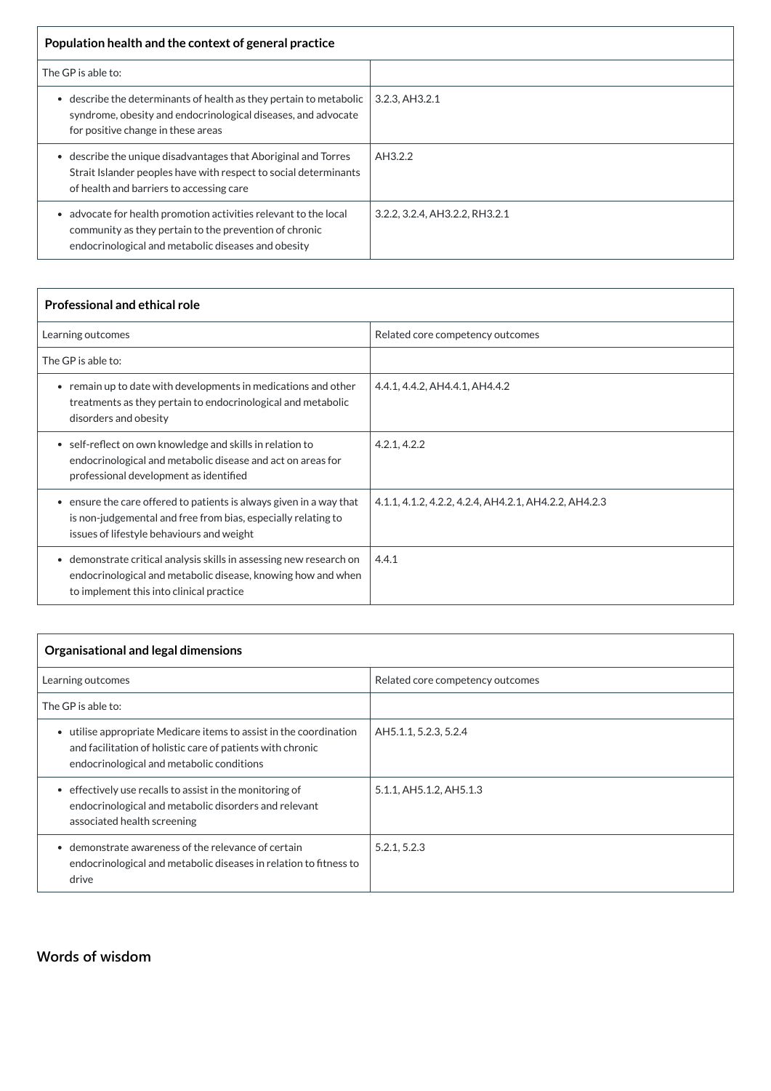| Population health and the context of general practice                                                                                                                           |                                |
|---------------------------------------------------------------------------------------------------------------------------------------------------------------------------------|--------------------------------|
| The GP is able to:                                                                                                                                                              |                                |
| describe the determinants of health as they pertain to metabolic<br>syndrome, obesity and endocrinological diseases, and advocate<br>for positive change in these areas         | 3.2.3, AH3.2.1                 |
| describe the unique disadvantages that Aboriginal and Torres<br>Strait Islander peoples have with respect to social determinants<br>of health and barriers to accessing care    | AH3.2.2                        |
| advocate for health promotion activities relevant to the local<br>community as they pertain to the prevention of chronic<br>endocrinological and metabolic diseases and obesity | 3.2.2, 3.2.4, AH3.2.2, RH3.2.1 |

| <b>Professional and ethical role</b>                                                                                                                                              |                                                       |
|-----------------------------------------------------------------------------------------------------------------------------------------------------------------------------------|-------------------------------------------------------|
| Learning outcomes                                                                                                                                                                 | Related core competency outcomes                      |
| The GP is able to:                                                                                                                                                                |                                                       |
| • remain up to date with developments in medications and other<br>treatments as they pertain to endocrinological and metabolic<br>disorders and obesity                           | 4.4.1, 4.4.2, AH4.4.1, AH4.4.2                        |
| • self-reflect on own knowledge and skills in relation to<br>endocrinological and metabolic disease and act on areas for<br>professional development as identified                | 4.2.1, 4.2.2                                          |
| • ensure the care offered to patients is always given in a way that<br>is non-judgemental and free from bias, especially relating to<br>issues of lifestyle behaviours and weight | 4.1.1, 4.1.2, 4.2.2, 4.2.4, AH4.2.1, AH4.2.2, AH4.2.3 |
| • demonstrate critical analysis skills in assessing new research on<br>endocrinological and metabolic disease, knowing how and when<br>to implement this into clinical practice   | 4.4.1                                                 |

| <b>Organisational and legal dimensions</b>                                                                                                                                  |                                  |  |
|-----------------------------------------------------------------------------------------------------------------------------------------------------------------------------|----------------------------------|--|
| Learning outcomes                                                                                                                                                           | Related core competency outcomes |  |
| The GP is able to:                                                                                                                                                          |                                  |  |
| utilise appropriate Medicare items to assist in the coordination<br>and facilitation of holistic care of patients with chronic<br>endocrinological and metabolic conditions | AH5.1.1, 5.2.3, 5.2.4            |  |
| effectively use recalls to assist in the monitoring of<br>$\bullet$<br>endocrinological and metabolic disorders and relevant<br>associated health screening                 | 5.1.1, AH5.1.2, AH5.1.3          |  |
| demonstrate awareness of the relevance of certain<br>endocrinological and metabolic diseases in relation to fitness to<br>drive                                             | 5.2.1, 5.2.3                     |  |

### **[Words of wisdom](javascript:void(0))**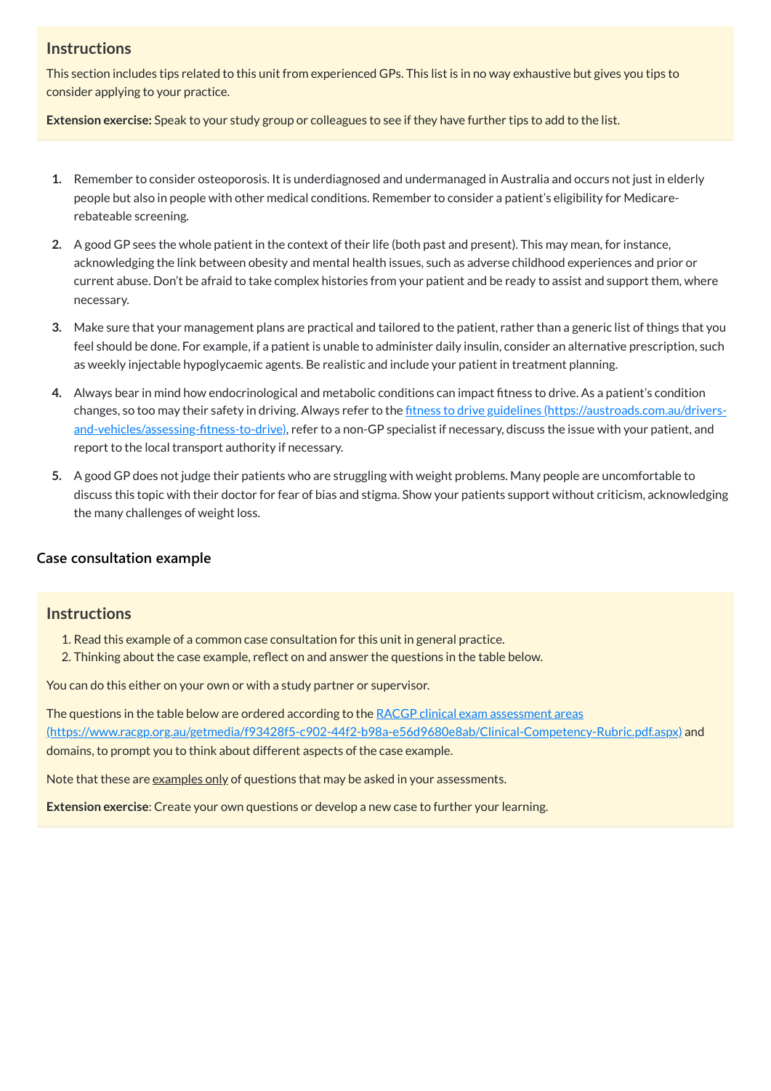#### **Instructions**

This section includes tips related to this unit from experienced GPs. This list is in no way exhaustive but gives you tips to consider applying to your practice.

**Extension exercise:** Speak to your study group or colleagues to see if they have further tips to add to the list.

- **1.** Remember to consider osteoporosis. It is underdiagnosed and undermanaged in Australia and occurs not just in elderly people but also in people with other medical conditions. Remember to consider a patient's eligibility for Medicarerebateable screening.
- **2.** A good GP sees the whole patient in the context of their life (both past and present). This may mean, for instance, acknowledging the link between obesity and mental health issues, such as adverse childhood experiences and prior or current abuse. Don't be afraid to take complex histories from your patient and be ready to assist and support them, where necessary.
- **3.** Make sure that your management plans are practical and tailored to the patient, rather than a generic list of things that you feel should be done. For example, if a patient is unable to administer daily insulin, consider an alternative prescription, such as weekly injectable hypoglycaemic agents. Be realistic and include your patient in treatment planning.
- **4.** Always bear in mind how endocrinological and metabolic conditions can impact fitness to drive. As a patient's condition changes, so too may their safety in driving. Always refer to the fitness to drive guidelines (https://austroads.com.au/drivers[and-vehicles/assessing-fitness-to-drive\),](https://austroads.com.au/drivers-and-vehicles/assessing-fitness-to-drive) refer to a non-GP specialist if necessary, discuss the issue with your patient, and report to the local transport authority if necessary.
- **5.** A good GP does not judge their patients who are struggling with weight problems. Many people are uncomfortable to discuss this topic with their doctor for fear of bias and stigma. Show your patients support without criticism, acknowledging the many challenges of weight loss.

The questions in the table below are ordered according to the RACGP clinical exam assessment areas [\(https://www.racgp.org.au/getmedia/f93428f5-c902-44f2-b98a-e56d9680e8ab/Clinical-Competency-Rubric.pdf.aspx\)](https://www.racgp.org.au/getmedia/f93428f5-c902-44f2-b98a-e56d9680e8ab/Clinical-Competency-Rubric.pdf.aspx) and domains, to prompt you to think about different aspects of the case example.

Note that these are examples only of questions that may be asked in your assessments.

#### **[Case consultation example](javascript:void(0))**

### **Instructions**

- 1. Read this example of a common case consultation for this unit in general practice.
- 2. Thinking about the case example, reflect on and answer the questions in the table below.

You can do this either on your own or with a study partner or supervisor.

**Extension exercise**: Create your own questions or develop a new case to further your learning.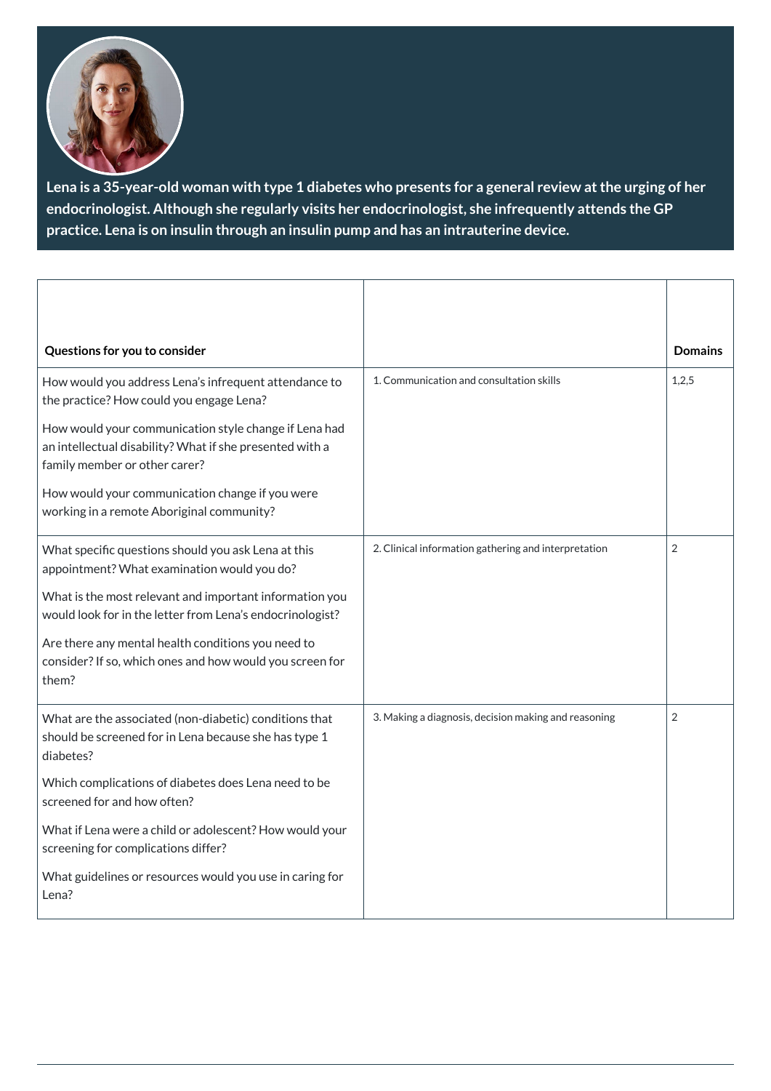

**Lena is a 35-year-old woman with type 1 diabetes who presents for a general review atthe urging of her endocrinologist. Although she regularly visits her endocrinologist, she infrequently attends the GP practice. Lena is on insulin through an insulin pump and has an intrauterine device.**

| Questions for you to consider                                                                                                                      |                                                      | <b>Domains</b> |
|----------------------------------------------------------------------------------------------------------------------------------------------------|------------------------------------------------------|----------------|
| How would you address Lena's infrequent attendance to<br>the practice? How could you engage Lena?                                                  | 1. Communication and consultation skills             | 1,2,5          |
| How would your communication style change if Lena had<br>an intellectual disability? What if she presented with a<br>family member or other carer? |                                                      |                |
| How would your communication change if you were<br>working in a remote Aboriginal community?                                                       |                                                      |                |
| What specific questions should you ask Lena at this<br>appointment? What examination would you do?                                                 | 2. Clinical information gathering and interpretation | $\overline{2}$ |
| What is the most relevant and important information you<br>would look for in the letter from Lena's endocrinologist?                               |                                                      |                |
| Are there any mental health conditions you need to<br>consider? If so, which ones and how would you screen for<br>them?                            |                                                      |                |
| What are the associated (non-diabetic) conditions that<br>should be screened for in Lena because she has type 1<br>diabetes?                       | 3. Making a diagnosis, decision making and reasoning | $\overline{2}$ |
| Which complications of diabetes does Lena need to be<br>screened for and how often?                                                                |                                                      |                |

| What if Lena were a child or adolescent? How would your           |  |
|-------------------------------------------------------------------|--|
| screening for complications differ?                               |  |
| What guidelines or resources would you use in caring for<br>Lena? |  |
|                                                                   |  |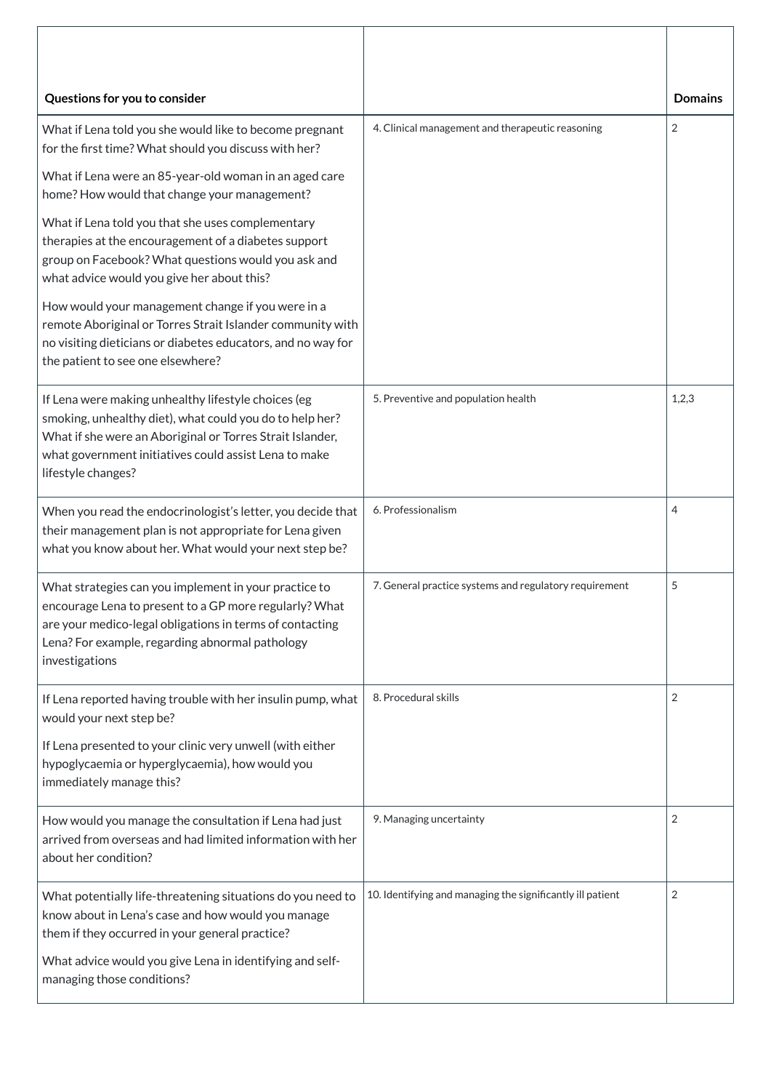| Questions for you to consider                                                                                                                                                                                                                               |                                                            | <b>Domains</b> |
|-------------------------------------------------------------------------------------------------------------------------------------------------------------------------------------------------------------------------------------------------------------|------------------------------------------------------------|----------------|
| What if Lena told you she would like to become pregnant<br>for the first time? What should you discuss with her?                                                                                                                                            | 4. Clinical management and therapeutic reasoning           | $\overline{2}$ |
| What if Lena were an 85-year-old woman in an aged care<br>home? How would that change your management?                                                                                                                                                      |                                                            |                |
| What if Lena told you that she uses complementary<br>therapies at the encouragement of a diabetes support<br>group on Facebook? What questions would you ask and<br>what advice would you give her about this?                                              |                                                            |                |
| How would your management change if you were in a<br>remote Aboriginal or Torres Strait Islander community with<br>no visiting dieticians or diabetes educators, and no way for<br>the patient to see one elsewhere?                                        |                                                            |                |
| If Lena were making unhealthy lifestyle choices (eg<br>smoking, unhealthy diet), what could you do to help her?<br>What if she were an Aboriginal or Torres Strait Islander,<br>what government initiatives could assist Lena to make<br>lifestyle changes? | 5. Preventive and population health                        | 1,2,3          |
| When you read the endocrinologist's letter, you decide that<br>their management plan is not appropriate for Lena given<br>what you know about her. What would your next step be?                                                                            | 6. Professionalism                                         | 4              |
| What strategies can you implement in your practice to<br>encourage Lena to present to a GP more regularly? What<br>are your medico-legal obligations in terms of contacting<br>Lena? For example, regarding abnormal pathology<br>investigations            | 7. General practice systems and regulatory requirement     | 5              |
| If Lena reported having trouble with her insulin pump, what<br>would your next step be?                                                                                                                                                                     | 8. Procedural skills                                       | $\overline{2}$ |
| If Lena presented to your clinic very unwell (with either<br>hypoglycaemia or hyperglycaemia), how would you<br>immediately manage this?                                                                                                                    |                                                            |                |
| How would you manage the consultation if Lena had just<br>arrived from overseas and had limited information with her<br>about her condition?                                                                                                                | 9. Managing uncertainty                                    | $\overline{2}$ |
| What potentially life-threatening situations do you need to<br>know about in Lena's case and how would you manage<br>them if they occurred in your general practice?                                                                                        | 10. Identifying and managing the significantly ill patient | $\overline{2}$ |
| What advice would you give Lena in identifying and self-<br>managing those conditions?                                                                                                                                                                      |                                                            |                |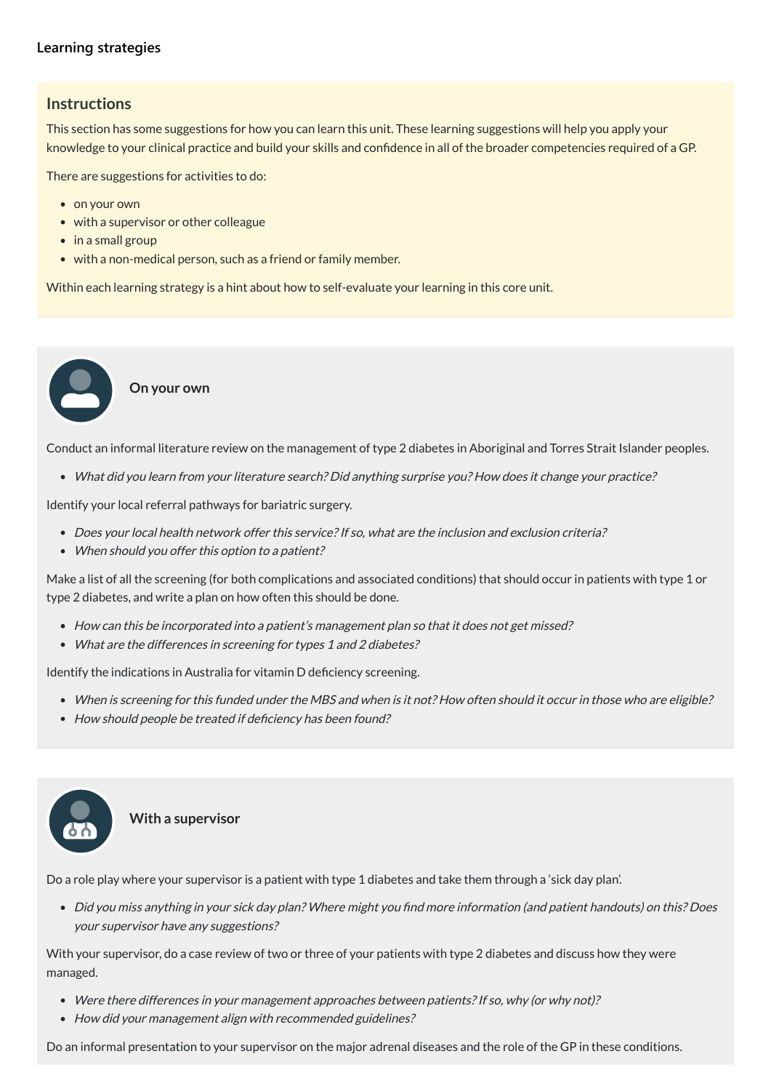#### **[Learning strategies](javascript:void(0))**

#### **Instructions**

This section has some suggestions for how you can learn this unit. These learning suggestions will help you apply your knowledge to your clinical practice and build your skills and confidence in all of the broader competencies required of a GP.

There are suggestions for activities to do:

- on your own
- with a supervisor or other colleague
- in a small group
- with a non-medical person, such as a friend or family member.

Within each learning strategy is a hint about how to self-evaluate your learning in this core unit.

**On your own**

- How can this be incorporated into <sup>a</sup> patient's management plan so that it does not get missed?
- What are the differences in screening for types 1 and 2 diabetes?

Conduct an informal literature review on the management of type 2 diabetes in Aboriginal and Torres Strait Islander peoples.

What did you learn from your literature search? Did anything surprise you? How does it change your practice?

Identify your local referral pathways for bariatric surgery.

- Does your local health network offer this service? If so, what are the inclusion and exclusion criteria?
- When should you offer this option to a patient?

Make a list of all the screening (for both complications and associated conditions) that should occur in patients with type 1 or type 2 diabetes, and write a plan on how often this should be done.

Identify the indications in Australia for vitamin D deficiency screening.

- When is screening for this funded under the MBS and when is it not? How often should it occur in those who are eligible?
- How should people be treated if deficiency has been found?



**With a supervisor**

Do a role play where your supervisor is a patient with type 1 diabetes and take them through a 'sick day plan'.

Did you miss anything in your sick day plan? Where might you find more information (and patient handouts) on this? Does your supervisor have any suggestions?

With your supervisor, do a case review of two or three of your patients with type 2 diabetes and discuss how they were managed.

- Were there differences in your management approaches between patients? If so, why (or why not)?
- How did your management align with recommended guidelines?

Do an informal presentation to your supervisor on the major adrenal diseases and the role of the GP in these conditions.

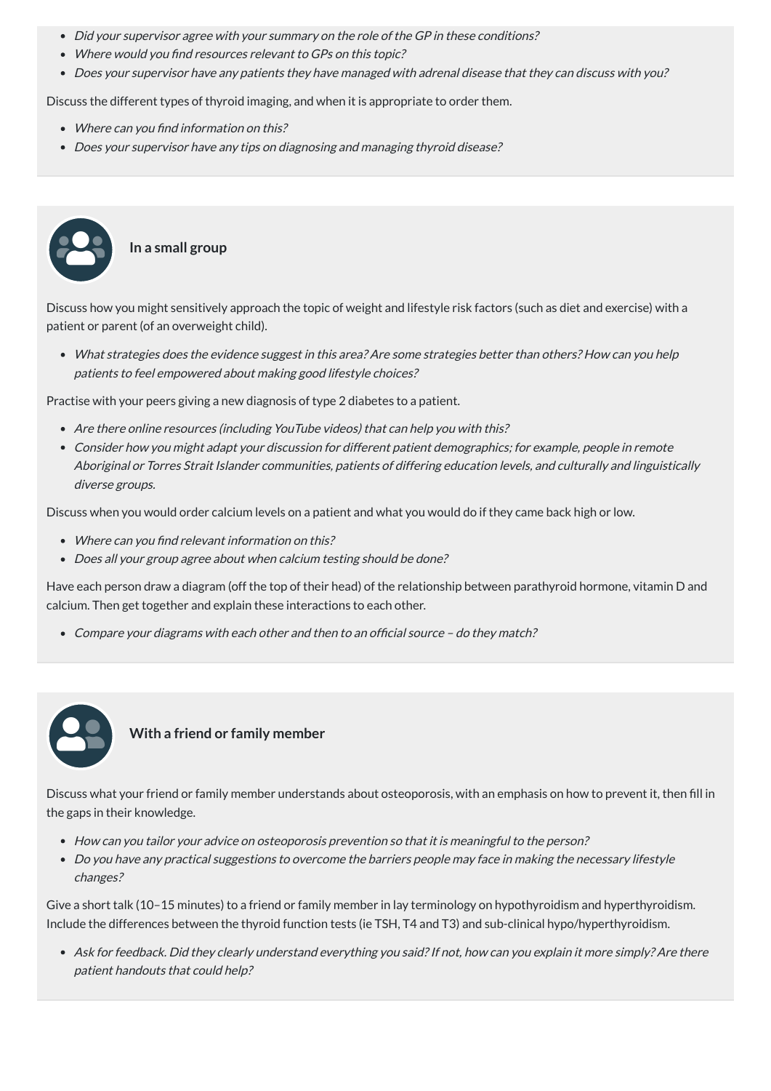- Did your supervisor agree with your summary on the role of the GP in these conditions?
- Where would you find resources relevant to GPs on this topic?
- Does your supervisor have any patients they have managed with adrenal disease that they can discuss with you?

- Where can you find information on this?
- Does your supervisor have any tips on diagnosing and managing thyroid disease?

Discuss the different types of thyroid imaging, and when it is appropriate to order them.

#### **In a small group**

Discuss how you might sensitively approach the topic of weight and lifestyle risk factors (such as diet and exercise) with a patient or parent (of an overweight child).

- Where can you find relevant information on this?
- Does all your group agree about when calcium testing should be done?

What strategies does the evidence suggest in this area? Are some strategies better than others? How can you help patients to feel empowered about making good lifestyle choices?

Practise with your peers giving a new diagnosis of type 2 diabetes to a patient.

- Are there online resources (including YouTube videos) that can help you with this?
- Consider how you might adapt your discussion for different patient demographics; for example, people in remote Aboriginal or Torres Strait Islander communities, patients of differing education levels, and culturally and linguistically diverse groups.

Discuss when you would order calcium levels on a patient and what you would do if they came back high or low.

Have each person draw a diagram (off the top of their head) of the relationship between parathyroid hormone, vitamin D and calcium. Then get together and explain these interactions to each other.

Compare your diagrams with each other and then to an official source – do they match?



**With a friend or family member**

Discuss what your friend or family member understands about osteoporosis, with an emphasis on how to prevent it, then fill in the gaps in their knowledge.

- How can you tailor your advice on osteoporosis prevention so that it is meaningful to the person?
- Do you have any practical suggestions to overcome the barriers people may face in making the necessary lifestyle changes?

Give a short talk (10–15 minutes) to a friend or family member in lay terminology on hypothyroidism and hyperthyroidism. Include the differences between the thyroid function tests (ie TSH, T4 and T3) and sub-clinical hypo/hyperthyroidism.

Ask for feedback. Did they clearly understand everything you said?If not, how can you explain it more simply? Are there patient handouts that could help?

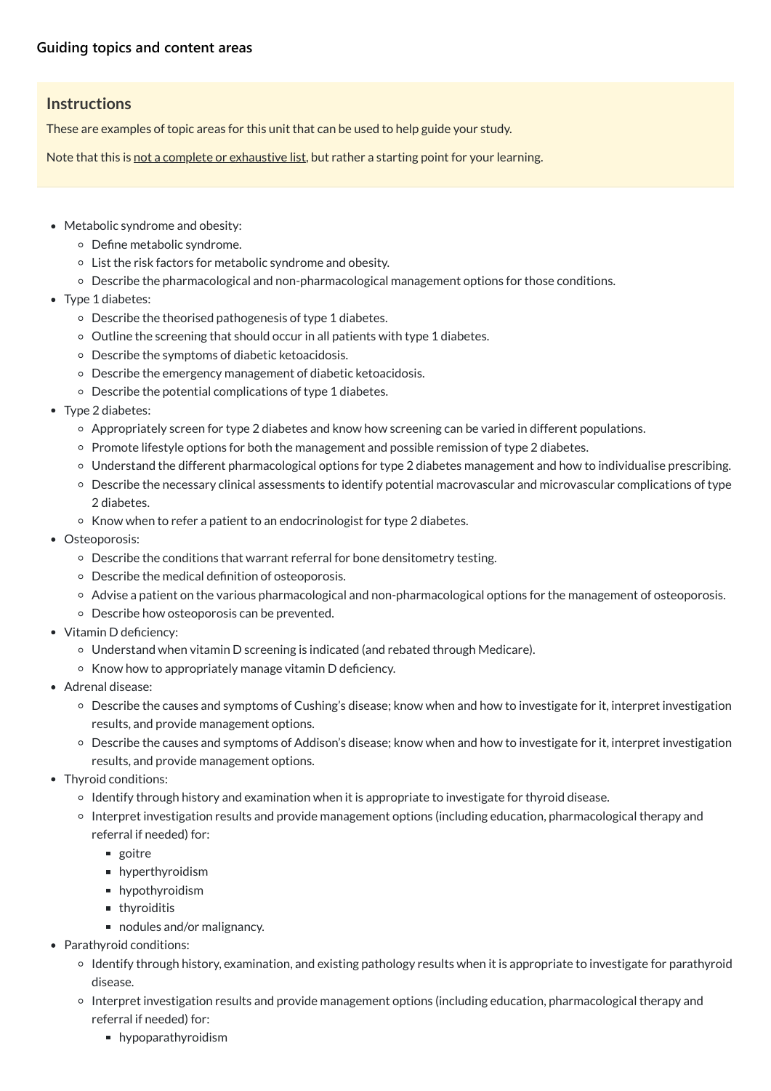#### **Instructions**

These are examples of topic areas for this unit that can be used to help guide your study.

Note that this is not a complete or exhaustive list, but rather a starting point for your learning.

- Metabolic syndrome and obesity:
	- Define metabolic syndrome.
	- List the risk factors for metabolic syndrome and obesity.
	- Describe the pharmacological and non-pharmacological management options for those conditions.
- Type 1 diabetes:
	- Describe the theorised pathogenesis of type 1 diabetes.
	- $\circ$  Outline the screening that should occur in all patients with type 1 diabetes.
	- Describe the symptoms of diabetic ketoacidosis.
	- Describe the emergency management of diabetic ketoacidosis.
	- Describe the potential complications of type 1 diabetes.
- Type 2 diabetes:
	- Appropriately screen for type 2 diabetes and know how screening can be varied in different populations.
	- Promote lifestyle options for both the management and possible remission of type 2 diabetes.
	- Understand the different pharmacological options for type 2 diabetes management and how to individualise prescribing.
	- Describe the necessary clinical assessments to identify potential macrovascular and microvascular complications of type 2 diabetes.
	- Know when to refer a patient to an endocrinologist for type 2 diabetes.
- Osteoporosis:
	- Describe the conditions that warrant referral for bone densitometry testing.
	- Describe the medical definition of osteoporosis.
	- Advise a patient on the various pharmacological and non-pharmacological options for the management of osteoporosis.
	- Describe how osteoporosis can be prevented.
- Vitamin D deficiency:
	- Understand when vitamin D screening is indicated (and rebated through Medicare).
	- $\circ$  Know how to appropriately manage vitamin D deficiency.
- Adrenal disease:
	- Describe the causes and symptoms of Cushing's disease; know when and how to investigate for it, interpret investigation results, and provide management options.
	- Describe the causes and symptoms of Addison's disease; know when and how to investigate for it, interpret investigation results, and provide management options.
- Thyroid conditions:
	- $\circ$  Identify through history and examination when it is appropriate to investigate for thyroid disease.
	- o Interpret investigation results and provide management options (including education, pharmacological therapy and

referral if needed) for:

- goitre
- **hyperthyroidism**
- **hypothyroidism**
- **n** thyroiditis
- nodules and/or malignancy.
- Parathyroid conditions:
	- o Identify through history, examination, and existing pathology results when it is appropriate to investigate for parathyroid disease.
	- o Interpret investigation results and provide management options (including education, pharmacological therapy and referral if needed) for:
		- **hypoparathyroidism**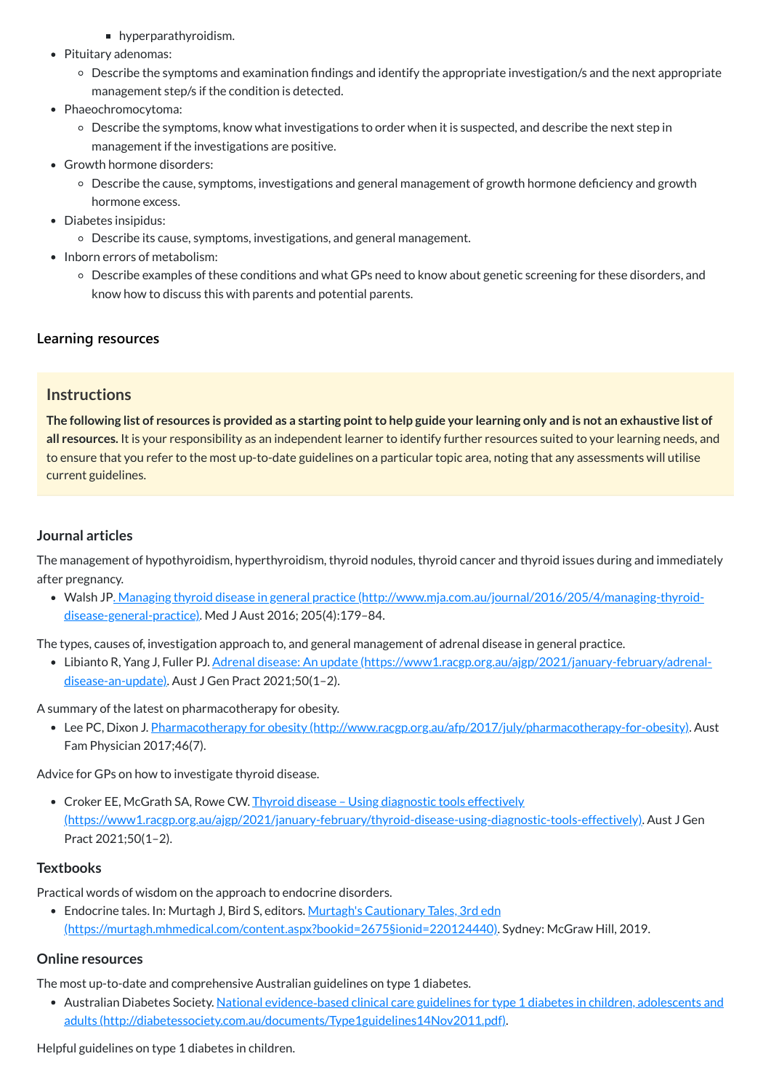- **hyperparathyroidism.**
- Pituitary adenomas:
	- Describe the symptoms and examination findings and identify the appropriate investigation/s and the next appropriate management step/s if the condition is detected.
- Phaeochromocytoma:
	- Describe the symptoms, know what investigations to order when it is suspected, and describe the next step in management if the investigations are positive.
- Growth hormone disorders:
	- Describe the cause, symptoms, investigations and general management of growth hormone deficiency and growth hormone excess.
- Diabetes insipidus:
	- Describe its cause, symptoms, investigations, and general management.
- Inborn errors of metabolism:
	- Describe examples of these conditions and what GPs need to know about genetic screening for these disorders, and know how to discuss this with parents and potential parents.

The following list of resources is provided as a starting point to help guide your learning only and is not an exhaustive list of **all resources.** It is your responsibility as an independent learner to identify further resources suited to your learning needs, and to ensure that you refer to the most up-to-date guidelines on a particular topic area, noting that any assessments will utilise current guidelines.

Walsh JP. Managing thyroid disease in general practice [\(http://www.mja.com.au/journal/2016/205/4/managing-thyroid-](http://www.mja.com.au/journal/2016/205/4/managing-thyroid-disease-general-practice)<u>disease-general-practice)</u>. Med J Aust 2016; 205(4):179–84.

#### **[Learning resources](javascript:void(0))**

#### **Instructions**

• Lee PC, Dixon J. Pharmacotherapy for obesity [\(http://www.racgp.org.au/afp/2017/july/pharmacotherapy-for-obesity\).](http://www.racgp.org.au/afp/2017/july/pharmacotherapy-for-obesity) Aust Fam Physician 2017;46(7).

• Croker EE, McGrath SA, Rowe CW. Thyroid disease - Using diagnostic tools effectively [\(https://www1.racgp.org.au/ajgp/2021/january-february/thyroid-disease-using-diagnostic-tools-effectively\)](https://www1.racgp.org.au/ajgp/2021/january-february/thyroid-disease-using-diagnostic-tools-effectively). Aust J Gen

#### **Journal articles**

The management of hypothyroidism, hyperthyroidism, thyroid nodules, thyroid cancer and thyroid issues during and immediately after pregnancy.

The types, causes of, investigation approach to, and general management of adrenal disease in general practice.

• Libianto R, Yang J, Fuller PJ. Adrenal disease: An update [\(https://www1.racgp.org.au/ajgp/2021/january-february/adrenal](https://www1.racgp.org.au/ajgp/2021/january-february/adrenal-disease-an-update)disease-an-update). Aust J Gen Pract 2021;50(1-2).

A summary of the latest on pharmacotherapy for obesity.

Advice for GPs on how to investigate thyroid disease.

Pract 2021;50(1–2).

#### **Textbooks**

Practical words of wisdom on the approach to endocrine disorders.

• Endocrine tales. In: Murtagh J, Bird S, editors. Murtagh's Cautionary Tales, 3rd edn

[\(https://murtagh.mhmedical.com/content.aspx?bookid=2675§ionid=220124440\).](https://murtagh.mhmedical.com/content.aspx?bookid=2675§ionid=220124440) Sydney: McGraw Hill, 2019.

#### **Online resources**

The most up-to-date and comprehensive Australian guidelines on type 1 diabetes.

● Australian Diabetes Society. National evidence-based clinical care guidelines for type 1 diabetes in children, adolescents and adults [\(http://diabetessociety.com.au/documents/Type1guidelines14Nov2011.pdf\).](http://diabetessociety.com.au/documents/Type1guidelines14Nov2011.pdf)

Helpful guidelines on type 1 diabetes in children.